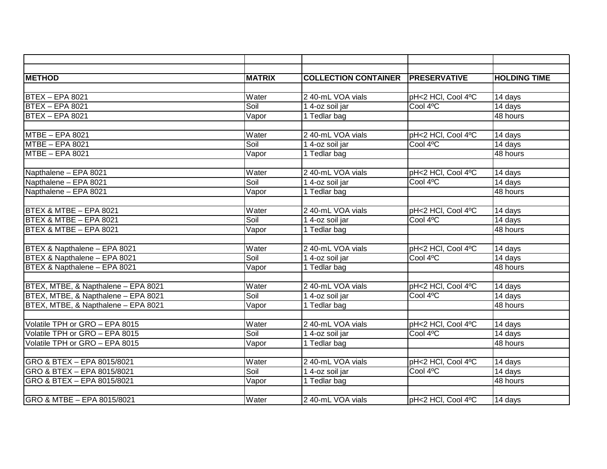| <b>METHOD</b>                       | <b>MATRIX</b> | <b>COLLECTION CONTAINER</b> | <b>PRESERVATIVE</b> | <b>HOLDING TIME</b>  |
|-------------------------------------|---------------|-----------------------------|---------------------|----------------------|
|                                     |               |                             |                     |                      |
| <b>BTEX - EPA 8021</b>              | Water         | 2 40-mL VOA vials           | pH<2 HCI, Cool 4°C  | 14 days              |
| <b>BTEX - EPA 8021</b>              | Soil          | 1 4-oz soil jar             | Cool 4°C            | 14 days              |
| $BTEX - EPA 8021$                   | Vapor         | 1 Tedlar bag                |                     | 48 hours             |
|                                     |               |                             |                     |                      |
| MTBE - EPA 8021                     | Water         | 2 40-mL VOA vials           | pH<2 HCl, Cool 4°C  | 14 days              |
| MTBE - EPA 8021                     | Soil          | 1 4-oz soil jar             | Cool 4°C            | 14 days              |
| MTBE - EPA 8021                     | Vapor         | 1 Tedlar bag                |                     | 48 hours             |
|                                     |               |                             |                     |                      |
| Napthalene - EPA 8021               | Water         | 2 40-mL VOA vials           | pH<2 HCl, Cool 4°C  | 14 days              |
| Napthalene - EPA 8021               | Soil          | 1 4-oz soil jar             | Cool 4°C            | 14 days              |
| Napthalene - EPA 8021               | Vapor         | 1 Tedlar bag                |                     | 48 hours             |
|                                     |               |                             |                     |                      |
| BTEX & MTBE - EPA 8021              | Water         | 2 40-mL VOA vials           | pH<2 HCl, Cool 4°C  | 14 days              |
| BTEX & MTBE - EPA 8021              | Soil          | 14-oz soil jar              | Cool 4°C            | $\overline{14}$ days |
| BTEX & MTBE - EPA 8021              | Vapor         | 1 Tedlar bag                |                     | 48 hours             |
|                                     |               |                             |                     |                      |
| BTEX & Napthalene - EPA 8021        | Water         | 2 40-mL VOA vials           | pH<2 HCl, Cool 4°C  | 14 days              |
| BTEX & Napthalene - EPA 8021        | Soil          | 14-oz soil jar              | Cool 4°C            | 14 days              |
| BTEX & Napthalene - EPA 8021        | Vapor         | 1 Tedlar bag                |                     | 48 hours             |
|                                     |               |                             |                     |                      |
| BTEX, MTBE, & Napthalene - EPA 8021 | Water         | 2 40-mL VOA vials           | pH<2 HCl, Cool 4°C  | 14 days              |
| BTEX, MTBE, & Napthalene - EPA 8021 | Soil          | 1 4-oz soil jar             | Cool 4°C            | 14 days              |
| BTEX, MTBE, & Napthalene - EPA 8021 | Vapor         | 1 Tedlar bag                |                     | 48 hours             |
|                                     |               |                             |                     |                      |
| Volatile TPH or GRO - EPA 8015      | Water         | 2 40-mL VOA vials           | pH<2 HCl, Cool 4°C  | $\overline{14}$ days |
| Volatile TPH or GRO - EPA 8015      | Soil          | 1 4-oz soil jar             | Cool 4°C            | 14 days              |
| Volatile TPH or GRO - EPA 8015      | Vapor         | 1 Tedlar bag                |                     | 48 hours             |
|                                     |               |                             |                     |                      |
| GRO & BTEX - EPA 8015/8021          | Water         | 2 40-mL VOA vials           | pH<2 HCl, Cool 4°C  | 14 days              |
| GRO & BTEX - EPA 8015/8021          | Soil          | 1 4-oz soil jar             | Cool 4°C            | 14 days              |
| GRO & BTEX - EPA 8015/8021          | Vapor         | 1 Tedlar bag                |                     | 48 hours             |
|                                     |               |                             |                     |                      |
| GRO & MTBE - EPA 8015/8021          | Water         | 2 40-mL VOA vials           | pH<2 HCl, Cool 4°C  | 14 days              |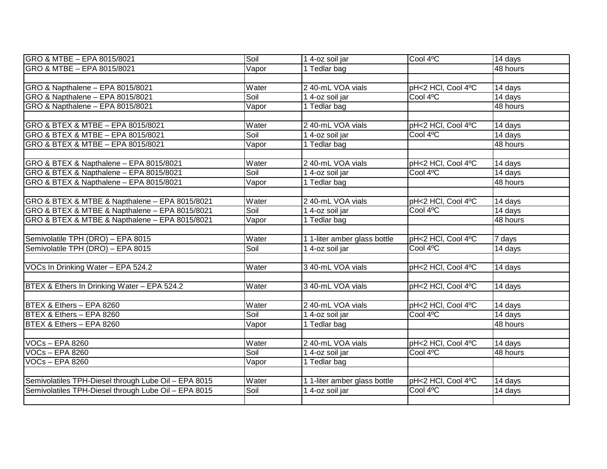| GRO & MTBE - EPA 8015/8021                           | Soil  | 1 4-oz soil jar              | Cool 4°C           | 14 days               |
|------------------------------------------------------|-------|------------------------------|--------------------|-----------------------|
| GRO & MTBE - EPA 8015/8021                           | Vapor | 1 Tedlar bag                 |                    | $\overline{48}$ hours |
|                                                      |       |                              |                    |                       |
| GRO & Napthalene - EPA 8015/8021                     | Water | 2 40-mL VOA vials            | pH<2 HCl, Cool 4°C | 14 days               |
| GRO & Napthalene - EPA 8015/8021                     | Soil  | 1 4-oz soil jar              | Cool 4°C           | 14 days               |
| GRO & Napthalene - EPA 8015/8021                     | Vapor | 1 Tedlar bag                 |                    | 48 hours              |
|                                                      |       |                              |                    |                       |
| GRO & BTEX & MTBE - EPA 8015/8021                    | Water | 2 40-mL VOA vials            | pH<2 HCI, Cool 4°C | 14 days               |
| GRO & BTEX & MTBE - EPA 8015/8021                    | Soil  | $\overline{1}$ 4-oz soil jar | Cool 4°C           | 14 days               |
| GRO & BTEX & MTBE - EPA 8015/8021                    | Vapor | 1 Tedlar bag                 |                    | 48 hours              |
|                                                      |       |                              |                    |                       |
| GRO & BTEX & Napthalene - EPA 8015/8021              | Water | 2 40-mL VOA vials            | pH<2 HCl, Cool 4°C | 14 days               |
| GRO & BTEX & Napthalene - EPA 8015/8021              | Soil  | 1 4-oz soil jar              | Cool 4°C           | 14 days               |
| GRO & BTEX & Napthalene - EPA 8015/8021              | Vapor | 1 Tedlar bag                 |                    | 48 hours              |
|                                                      |       |                              |                    |                       |
| GRO & BTEX & MTBE & Napthalene - EPA 8015/8021       | Water | 2 40-mL VOA vials            | pH<2 HCl, Cool 4°C | 14 days               |
| GRO & BTEX & MTBE & Napthalene - EPA 8015/8021       | Soil  | 1 4-oz soil jar              | Cool 4°C           | 14 days               |
| GRO & BTEX & MTBE & Napthalene - EPA 8015/8021       | Vapor | 1 Tedlar bag                 |                    | 48 hours              |
|                                                      |       |                              |                    |                       |
| Semivolatile TPH (DRO) - EPA 8015                    | Water | 1 1-liter amber glass bottle | pH<2 HCl, Cool 4°C | 7 days                |
| Semivolatile TPH (DRO) - EPA 8015                    | Soil  | 14-oz soil jar               | Cool 4°C           | 14 days               |
|                                                      |       |                              |                    |                       |
| VOCs In Drinking Water - EPA 524.2                   | Water | 3 40-mL VOA vials            | pH<2 HCl, Cool 4°C | 14 days               |
|                                                      |       |                              |                    |                       |
| BTEX & Ethers In Drinking Water - EPA 524.2          | Water | 3 40-mL VOA vials            | pH<2 HCl, Cool 4°C | 14 days               |
|                                                      |       |                              |                    |                       |
| BTEX & Ethers - EPA 8260                             | Water | 2 40-mL VOA vials            | pH<2 HCl, Cool 4°C | 14 days               |
| BTEX & Ethers - EPA 8260                             | Soil  | 1 4-oz soil jar              | Cool 4°C           | $\overline{14}$ days  |
| BTEX & Ethers - EPA 8260                             | Vapor | 1 Tedlar bag                 |                    | 48 hours              |
|                                                      |       |                              |                    |                       |
| <b>VOCs-EPA 8260</b>                                 | Water | 2 40-mL VOA vials            | pH<2 HCl, Cool 4°C | 14 days               |
| <b>VOCs-EPA 8260</b>                                 | Soil  | 1 4-oz soil jar              | Cool 4°C           | 48 hours              |
| VOCs-EPA 8260                                        | Vapor | $\overline{1}$ Tedlar bag    |                    |                       |
|                                                      |       |                              |                    |                       |
| Semivolatiles TPH-Diesel through Lube Oil - EPA 8015 | Water | 1 1-liter amber glass bottle | pH<2 HCl, Cool 4°C | 14 days               |
| Semivolatiles TPH-Diesel through Lube Oil - EPA 8015 | Soil  | $\overline{1}$ 4-oz soil jar | Cool 4°C           | 14 days               |
|                                                      |       |                              |                    |                       |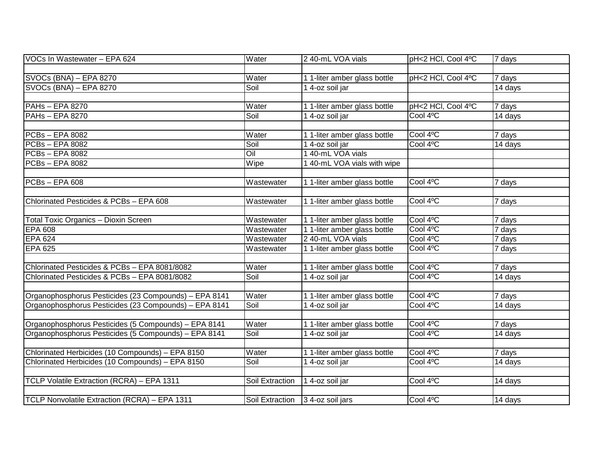| VOCs In Wastewater - EPA 624                          | Water             | 2 40-mL VOA vials            | pH<2 HCl, Cool 4°C | 7 days              |
|-------------------------------------------------------|-------------------|------------------------------|--------------------|---------------------|
|                                                       |                   |                              |                    |                     |
| SVOCs (BNA) – EPA 8270                                | Water             | 1 1-liter amber glass bottle | pH<2 HCl, Cool 4°C | 7 days              |
| SVOCs (BNA) - EPA 8270                                | Soil              | 1 4-oz soil jar              |                    | 14 days             |
|                                                       |                   |                              |                    |                     |
| PAHs - EPA 8270                                       | Water             | 1 1-liter amber glass bottle | pH<2 HCl, Cool 4°C | 7 days              |
| PAHs - EPA 8270                                       | Soil              | 14-oz soil jar               | Cool 4°C           | 14 days             |
|                                                       |                   |                              |                    |                     |
| <b>PCBs-EPA 8082</b>                                  | Water             | 1 1-liter amber glass bottle | Cool 4°C           | 7 days              |
| PCBs-EPA 8082                                         | Soil              | $\overline{1}$ 4-oz soil jar | Cool 4°C           | 14 days             |
| PCBs-EPA 8082                                         | $\overline{O}$ il | 1 40-mL VOA vials            |                    |                     |
| PCBs-EPA 8082                                         | Wipe              | 1 40-mL VOA vials with wipe  |                    |                     |
|                                                       |                   |                              |                    |                     |
| <b>PCBs-EPA 608</b>                                   | Wastewater        | 1 1-liter amber glass bottle | Cool 4°C           | 7 days              |
|                                                       |                   |                              |                    |                     |
| Chlorinated Pesticides & PCBs - EPA 608               | Wastewater        | 1 1-liter amber glass bottle | Cool 4°C           | 7 days              |
|                                                       |                   |                              |                    |                     |
| Total Toxic Organics - Dioxin Screen                  | Wastewater        | 1 1-liter amber glass bottle | Cool 4°C           | 7 days              |
| <b>EPA 608</b>                                        | Wastewater        | 1 1-liter amber glass bottle | Cool 4°C           | 7 days              |
| <b>EPA 624</b>                                        | Wastewater        | 2 40-mL VOA vials            | Cool 4°C           | 7 days              |
| <b>EPA 625</b>                                        | Wastewater        | 1 1-liter amber glass bottle | Cool 4°C           | 7 days              |
|                                                       |                   |                              |                    |                     |
| Chlorinated Pesticides & PCBs - EPA 8081/8082         | Water             | 1 1-liter amber glass bottle | Cool 4°C           | $\overline{7}$ days |
| Chlorinated Pesticides & PCBs - EPA 8081/8082         | Soil              | 14-oz soil jar               | Cool 4°C           | 14 days             |
|                                                       |                   |                              |                    |                     |
| Organophosphorus Pesticides (23 Compounds) - EPA 8141 | Water             | 1 1-liter amber glass bottle | Cool 4°C           | 7 days              |
| Organophosphorus Pesticides (23 Compounds) - EPA 8141 | Soil              | 14-oz soil jar               | Cool 4°C           | 14 days             |
|                                                       |                   |                              |                    |                     |
| Organophosphorus Pesticides (5 Compounds) - EPA 8141  | Water             | 1 1-liter amber glass bottle | Cool 4°C           | 7 days              |
| Organophosphorus Pesticides (5 Compounds) - EPA 8141  | Soil              | 1 4-oz soil jar              | Cool 4°C           | 14 days             |
|                                                       |                   |                              |                    |                     |
| Chlorinated Herbicides (10 Compounds) - EPA 8150      | Water             | 1 1-liter amber glass bottle | Cool 4°C           | 7 days              |
| Chlorinated Herbicides (10 Compounds) - EPA 8150      | Soil              | 1 4-oz soil jar              | Cool 4°C           | 14 days             |
|                                                       |                   |                              |                    |                     |
| TCLP Volatile Extraction (RCRA) - EPA 1311            | Soil Extraction   | 1 4-oz soil jar              | Cool 4°C           | 14 days             |
|                                                       |                   |                              |                    |                     |
| TCLP Nonvolatile Extraction (RCRA) - EPA 1311         | Soil Extraction   | 3 4-oz soil jars             | Cool 4°C           | 14 days             |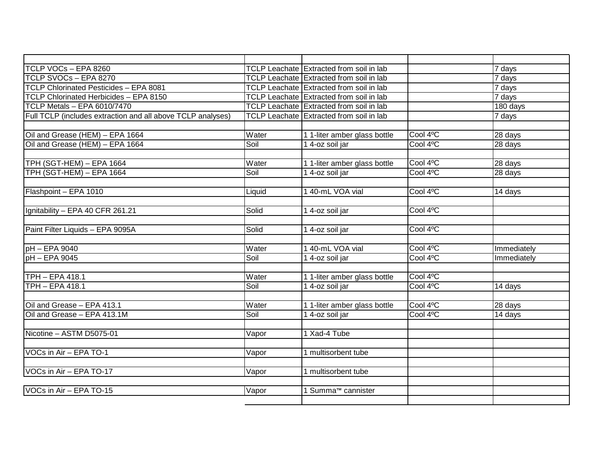| TCLP VOCs - EPA 8260                                        |        | TCLP Leachate Extracted from soil in lab        |                                  | 7 days      |
|-------------------------------------------------------------|--------|-------------------------------------------------|----------------------------------|-------------|
| TCLP SVOCs - EPA 8270                                       |        | TCLP Leachate Extracted from soil in lab        |                                  | 7 days      |
| TCLP Chlorinated Pesticides - EPA 8081                      |        | TCLP Leachate Extracted from soil in lab        |                                  | 7 days      |
| TCLP Chlorinated Herbicides - EPA 8150                      |        | TCLP Leachate Extracted from soil in lab        |                                  | 7 days      |
| TCLP Metals - EPA 6010/7470                                 |        | <b>TCLP Leachate Extracted from soil in lab</b> |                                  | 180 days    |
| Full TCLP (includes extraction and all above TCLP analyses) |        | TCLP Leachate Extracted from soil in lab        |                                  | 7 days      |
|                                                             |        |                                                 |                                  |             |
| Oil and Grease (HEM) - EPA 1664                             | Water  | 1 1-liter amber glass bottle                    | Cool 4°C                         | 28 days     |
| Oil and Grease (HEM) - EPA 1664                             | Soil   | 1 4-oz soil jar                                 | Cool 4 <sup>o</sup> C            | 28 days     |
|                                                             |        |                                                 |                                  |             |
| TPH (SGT-HEM) - EPA 1664                                    | Water  | 1 1-liter amber glass bottle                    | Cool 4°C                         | 28 days     |
| TPH (SGT-HEM) - EPA 1664                                    | Soil   | 1 4-oz soil jar                                 | Cool 4°C                         | 28 days     |
|                                                             |        |                                                 |                                  |             |
| Flashpoint - EPA 1010                                       | Liquid | 1 40-mL VOA vial                                | Cool 4°C                         | 14 days     |
|                                                             |        |                                                 |                                  |             |
| Ignitability - EPA 40 CFR 261.21                            | Solid  | 14-oz soil jar                                  | Cool <sub>4</sub> o <sub>C</sub> |             |
|                                                             |        |                                                 |                                  |             |
| Paint Filter Liquids - EPA 9095A                            | Solid  | 14-oz soil jar                                  | Cool 4°C                         |             |
|                                                             |        |                                                 |                                  |             |
| $pH - EPA$ 9040                                             | Water  | 1 40-mL VOA vial                                | Cool 4°C                         | Immediately |
| $pH - EPA$ 9045                                             | Soil   | 14-oz soil jar                                  | Cool 4°C                         | Immediately |
|                                                             |        |                                                 |                                  |             |
| <b>TPH - EPA 418.1</b>                                      | Water  | 1 1-liter amber glass bottle                    | Cool 4°C                         |             |
| <b>TPH - EPA 418.1</b>                                      | Soil   | 1 4-oz soil jar                                 | Cool 4°C                         | 14 days     |
|                                                             |        |                                                 |                                  |             |
| Oil and Grease - EPA 413.1                                  | Water  | 1 1-liter amber glass bottle                    | Cool 4°C                         | 28 days     |
| Oil and Grease - EPA 413.1M                                 | Soil   | 1 4-oz soil jar                                 | Cool 4°C                         | 14 days     |
|                                                             |        |                                                 |                                  |             |
| Nicotine - ASTM D5075-01                                    | Vapor  | 1 Xad-4 Tube                                    |                                  |             |
|                                                             |        |                                                 |                                  |             |
| VOCs in Air - EPA TO-1                                      | Vapor  | 1 multisorbent tube                             |                                  |             |
|                                                             |        |                                                 |                                  |             |
| VOCs in Air - EPA TO-17                                     | Vapor  | 1 multisorbent tube                             |                                  |             |
|                                                             |        |                                                 |                                  |             |
| VOCs in Air - EPA TO-15                                     | Vapor  | 1 Summa <sup>™</sup> cannister                  |                                  |             |
|                                                             |        |                                                 |                                  |             |